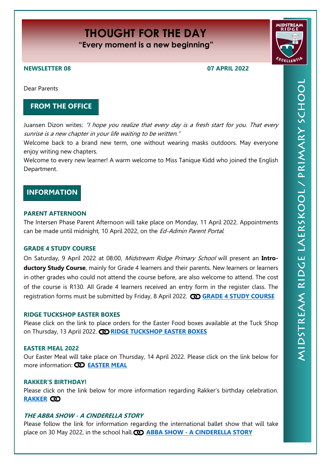# **THOUGHT FOR THE DAY**

**"Every moment is a new beginning"**

# **NEWSLETTER 08 07 APRIL 2022**

Dear Parents

# **FROM THE OFFICE**

Juansen Dizon writes: "I hope you realize that every day is a fresh start for you. That every sunrise is a new chapter in your life waiting to be written."

Welcome back to a brand new term, one without wearing masks outdoors. May everyone enjoy writing new chapters.

Welcome to every new learner! A warm welcome to Miss Tanique Kidd who joined the English Department.

# **INFORMATION**

## **PARENT AFTERNOON**

The Intersen Phase Parent Afternoon will take place on Monday, 11 April 2022. Appointments can be made until midnight, 10 April 2022, on the Ed-Admin Parent Portal.

# **GRADE 4 STUDY COURSE**

On Saturday, 9 April 2022 at 08:00, Midstream Ridge Primary School will present an **Introductory Study Course**, mainly for Grade 4 learners and their parents. New learners or learners in other grades who could not attend the course before, are also welcome to attend. The cost of the course is R130. All Grade 4 learners received an entry form in the register class. The registration forms must be submitted by Friday, 8 April 2022. **[GRADE 4 STUDY COURSE](https://midstreamridgeprimary.co.za/wp-content/uploads/2022/04/mrp-2022studyskillsApr.pdf)**

## **RIDGE TUCKSHOP EASTER BOXES**

Please click on the link to place orders for the Easter Food boxes available at the Tuck Shop on Thursday, 13 April 2022. **[RIDGE TUCKSHOP EASTER BOXES](https://midstreamridgeprimary.co.za/wp-content/uploads/2022/04/Ridge-tuckshop-Easter-Box-page-001-scaled.jpg)**

#### **EASTER MEAL 2022**

Our Easter Meal will take place on Thursday, 14 April 2022. Please click on the link below for more information: **[EASTER MEAL](https://midstreamridgeprimary.co.za/wp-content/uploads/2022/03/mrp2022Easter-Meal.pdf)**

## **RAKKER'S BIRTHDAY!**

Please click on the link below for more information regarding Rakker's birthday celebration. **[RAKKER](https://midstreamridgeprimary.co.za/wp-content/uploads/2022/03/mrp2022RakkerVerjaarsdagBirthday.pdf)**

# **THE ABBA SHOW - A CINDERELLA STORY**

Please follow the link for information regarding the international ballet show that will take place on 30 May 2022, in the school hall. **(D) ABBA SHOW - [A CINDERELLA STORY](https://midstreamridgeprimary.co.za/wp-content/uploads/2022/04/Mzansi_Ballet.jpg)**